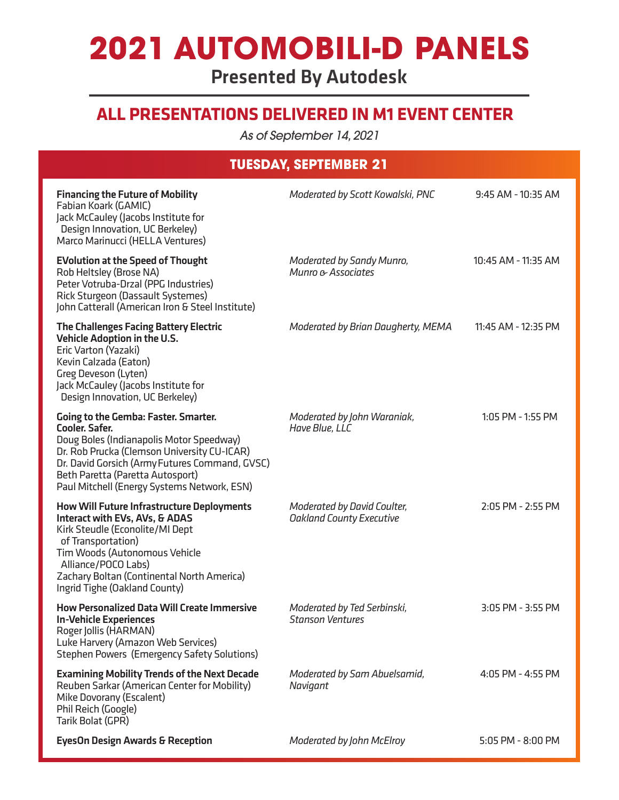# **2021 AUTOMOBILI-D PANELS**

Presented By Autodesk

### **ALL PRESENTATIONS DELIVERED IN M1 EVENT CENTER**

*As of September 14, 2021*

### **TUESDAY, SEPTEMBER 21**

| <b>Financing the Future of Mobility</b><br>Fabian Koark (GAMIC)<br>Jack McCauley (Jacobs Institute for<br>Design Innovation, UC Berkeley)<br>Marco Marinucci (HELLA Ventures)                                                                                                                        | Moderated by Scott Kowalski, PNC                               | 9:45 AM - 10:35 AM    |
|------------------------------------------------------------------------------------------------------------------------------------------------------------------------------------------------------------------------------------------------------------------------------------------------------|----------------------------------------------------------------|-----------------------|
| <b>EVolution at the Speed of Thought</b><br>Rob Heltsley (Brose NA)<br>Peter Votruba-Drzal (PPG Industries)<br>Rick Sturgeon (Dassault Systemes)<br>John Catterall (American Iron & Steel Institute)                                                                                                 | Moderated by Sandy Munro,<br>Munro & Associates                | 10:45 AM - 11:35 AM   |
| <b>The Challenges Facing Battery Electric</b><br><b>Vehicle Adoption in the U.S.</b><br>Eric Varton (Yazaki)<br>Kevin Calzada (Eaton)<br>Greg Deveson (Lyten)<br>Jack McCauley (Jacobs Institute for<br>Design Innovation, UC Berkeley)                                                              | Moderated by Brian Daugherty, MEMA                             | 11:45 AM - 12:35 PM   |
| <b>Going to the Gemba: Faster. Smarter.</b><br><b>Cooler. Safer.</b><br>Doug Boles (Indianapolis Motor Speedway)<br>Dr. Rob Prucka (Clemson University CU-ICAR)<br>Dr. David Gorsich (Army Futures Command, GVSC)<br>Beth Paretta (Paretta Autosport)<br>Paul Mitchell (Energy Systems Network, ESN) | Moderated by John Waraniak,<br>Have Blue, LLC                  | 1:05 PM - 1:55 PM     |
| <b>How Will Future Infrastructure Deployments</b><br>Interact with EVs, AVs, & ADAS<br>Kirk Steudle (Econolite/MI Dept<br>of Transportation)<br>Tim Woods (Autonomous Vehicle<br>Alliance/POCO Labs)<br>Zachary Boltan (Continental North America)<br>Ingrid Tighe (Oakland County)                  | Moderated by David Coulter,<br><b>Oakland County Executive</b> | 2:05 PM - 2:55 PM     |
| <b>How Personalized Data Will Create Immersive</b><br><b>In-Vehicle Experiences</b><br>Roger Jollis (HARMAN)<br>Luke Harvery (Amazon Web Services)<br><b>Stephen Powers (Emergency Safety Solutions)</b>                                                                                             | Moderated by Ted Serbinski,<br><b>Stanson Ventures</b>         | 3:05 PM - 3:55 PM     |
| <b>Examining Mobility Trends of the Next Decade</b><br>Reuben Sarkar (American Center for Mobility)<br>Mike Dovorany (Escalent)<br>Phil Reich (Google)<br>Tarik Bolat (GPR)                                                                                                                          | Moderated by Sam Abuelsamid,<br>Navigant                       | 4:05 PM - 4:55 PM     |
| <b>EyesOn Design Awards &amp; Reception</b>                                                                                                                                                                                                                                                          | Moderated by John McElroy                                      | $5:05$ PM - $8:00$ PM |